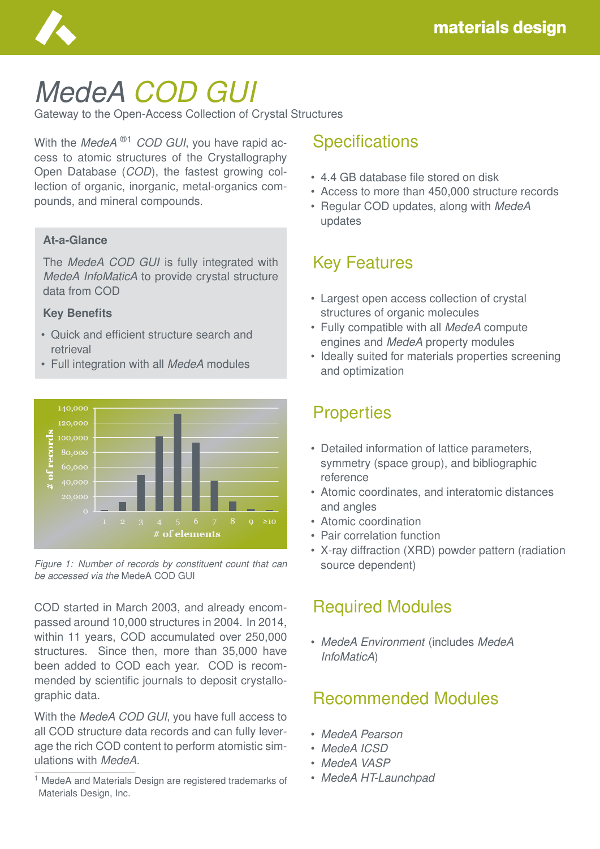

# *MedeA COD GUI*

Gateway to the Open-Access Collection of Crystal Structures

With the *MedeA* ®1 *COD GUI*, you have rapid access to atomic structures of the Crystallography Open Database (*COD*), the fastest growing collection of organic, inorganic, metal-organics compounds, and mineral compounds.

### **At-a-Glance**

The *MedeA COD GUI* is fully integrated with *MedeA InfoMaticA* to provide crystal structure data from COD

#### **Key Benefits**

- Quick and efficient structure search and retrieval
- Full integration with all *MedeA* modules



*Figure 1: Number of records by constituent count that can be accessed via the* MedeA COD GUI

COD started in March 2003, and already encompassed around 10,000 structures in 2004. In 2014, within 11 years, COD accumulated over 250,000 structures. Since then, more than 35,000 have been added to COD each year. COD is recommended by scientific journals to deposit crystallographic data.

With the *MedeA COD GUI*, you have full access to all COD structure data records and can fully leverage the rich COD content to perform atomistic simulations with *MedeA*.

#### <sup>1</sup> MedeA and Materials Design are registered trademarks of Materials Design, Inc.

### **Specifications**

- 4.4 GB database file stored on disk
- Access to more than 450,000 structure records
- Regular COD updates, along with *MedeA* updates

# Key Features

- Largest open access collection of crystal structures of organic molecules
- Fully compatible with all *MedeA* compute engines and *MedeA* property modules
- Ideally suited for materials properties screening and optimization

# **Properties**

- Detailed information of lattice parameters, symmetry (space group), and bibliographic reference
- Atomic coordinates, and interatomic distances and angles
- Atomic coordination
- Pair correlation function
- X-ray diffraction (XRD) powder pattern (radiation source dependent)

# Required Modules

• *MedeA Environment* (includes *MedeA InfoMaticA*)

# Recommended Modules

- *MedeA Pearson*
- *MedeA ICSD*
- *MedeA VASP*
- *MedeA HT-Launchpad*